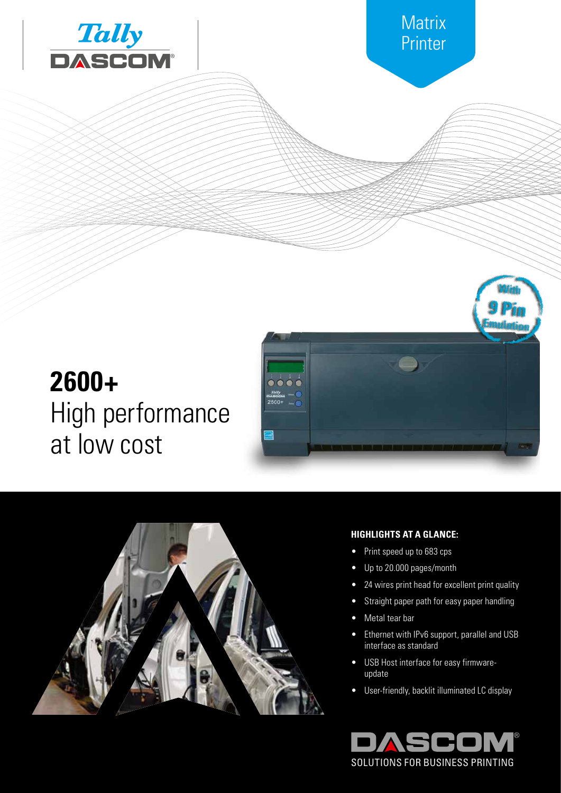



# **2600+** High performance at low cost





## **HIGHLIGHTS AT A GLANCE:**

- Print speed up to 683 cps
- Up to 20.000 pages/month
- 24 wires print head for excellent print quality
- **•** Straight paper path for easy paper handling
- Metal tear bar
- Ethernet with IPv6 support, parallel and USB interface as standard
- USB Host interface for easy firmwareupdate
- User-friendly, backlit illuminated LC display